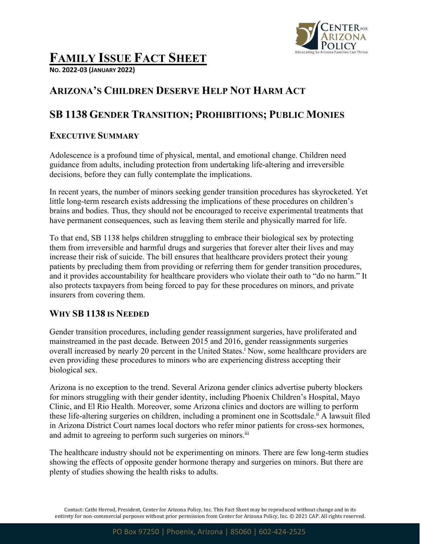

# **FAMILY ISSUE FACT SHEET**

**NO. 2022-03 (JANUARY 2022)**

## **ARIZONA'S CHILDREN DESERVE HELP NOT HARM ACT**

## **SB 1138 GENDER TRANSITION; PROHIBITIONS; PUBLIC MONIES**

#### **EXECUTIVE SUMMARY**

Adolescence is a profound time of physical, mental, and emotional change. Children need guidance from adults, including protection from undertaking life-altering and irreversible decisions, before they can fully contemplate the implications.

In recent years, the number of minors seeking gender transition procedures has skyrocketed. Yet little long-term research exists addressing the implications of these procedures on children's brains and bodies. Thus, they should not be encouraged to receive experimental treatments that have permanent consequences, such as leaving them sterile and physically marred for life.

To that end, SB 1138 helps children struggling to embrace their biological sex by protecting them from irreversible and harmful drugs and surgeries that forever alter their lives and may increase their risk of suicide. The bill ensures that healthcare providers protect their young patients by precluding them from providing or referring them for gender transition procedures, and it provides accountability for healthcare providers who violate their oath to "do no harm." It also protects taxpayers from being forced to pay for these procedures on minors, and private insurers from covering them.

#### **WHY SB 1138 IS NEEDED**

Gender transition procedures, including gender reassignment surgeries, have proliferated and mainstreamed in the past decade. Between 2015 and 2016, gender reassignments surgeries overall increased by nearly 20 percent in the United States.<sup>i</sup> Now, some healthcare providers are even providing these procedures to minors who are experiencing distress accepting their biological sex.

Arizona is no exception to the trend. Several Arizona gender clinics advertise puberty blockers for minors struggling with their gender identity, including Phoenix Children's Hospital, Mayo Clinic, and El Rio Health. Moreover, some Arizona clinics and doctors are willing to perform these life-altering surgeries on children, including a prominent one in Scottsdale.<sup>ii</sup> A lawsuit filed in Arizona District Court names local doctors who refer minor patients for cross-sex hormones, and admit to agreeing to perform such surgeries on minors.<sup>iii</sup>

The healthcare industry should not be experimenting on minors. There are few long-term studies showing the effects of opposite gender hormone therapy and surgeries on minors. But there are plenty of studies showing the health risks to adults.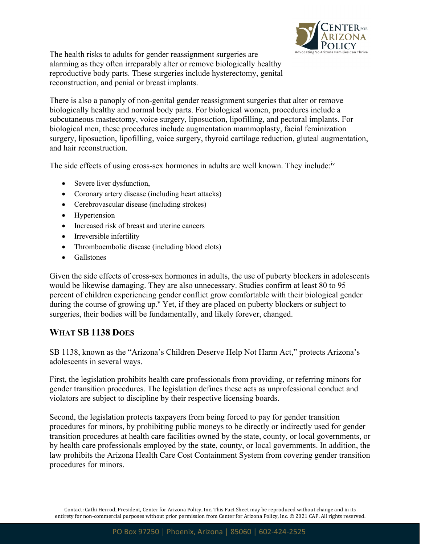

The health risks to adults for gender reassignment surgeries are alarming as they often irreparably alter or remove biologically healthy reproductive body parts. These surgeries include hysterectomy, genital reconstruction, and penial or breast implants.

There is also a panoply of non-genital gender reassignment surgeries that alter or remove biologically healthy and normal body parts. For biological women, procedures include a subcutaneous mastectomy, voice surgery, liposuction, lipofilling, and pectoral implants. For biological men, these procedures include augmentation mammoplasty, facial feminization surgery, liposuction, lipofilling, voice surgery, thyroid cartilage reduction, gluteal augmentation, and hair reconstruction.

The side effects of using cross-sex hormones in adults are well known. They include:<sup>iv</sup>

- Severe liver dysfunction,
- Coronary artery disease (including heart attacks)
- Cerebrovascular disease (including strokes)
- Hypertension
- Increased risk of breast and uterine cancers
- Irreversible infertility
- Thromboembolic disease (including blood clots)
- Gallstones

Given the side effects of cross-sex hormones in adults, the use of puberty blockers in adolescents would be likewise damaging. They are also unnecessary. Studies confirm at least 80 to 95 percent of children experiencing gender conflict grow comfortable with their biological gender during the course of growing up.<sup>v</sup> Yet, if they are placed on puberty blockers or subject to surgeries, their bodies will be fundamentally, and likely forever, changed.

#### **WHAT SB 1138 DOES**

SB 1138, known as the "Arizona's Children Deserve Help Not Harm Act," protects Arizona's adolescents in several ways.

First, the legislation prohibits health care professionals from providing, or referring minors for gender transition procedures. The legislation defines these acts as unprofessional conduct and violators are subject to discipline by their respective licensing boards.

Second, the legislation protects taxpayers from being forced to pay for gender transition procedures for minors, by prohibiting public moneys to be directly or indirectly used for gender transition procedures at health care facilities owned by the state, county, or local governments, or by health care professionals employed by the state, county, or local governments. In addition, the law prohibits the Arizona Health Care Cost Containment System from covering gender transition procedures for minors.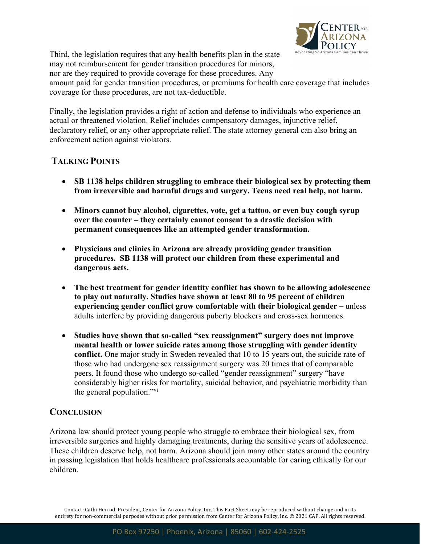

Third, the legislation requires that any health benefits plan in the state may not reimbursement for gender transition procedures for minors,

nor are they required to provide coverage for these procedures. Any

amount paid for gender transition procedures, or premiums for health care coverage that includes coverage for these procedures, are not tax-deductible.

Finally, the legislation provides a right of action and defense to individuals who experience an actual or threatened violation. Relief includes compensatory damages, injunctive relief, declaratory relief, or any other appropriate relief. The state attorney general can also bring an enforcement action against violators.

### **TALKING POINTS**

- **SB 1138 helps children struggling to embrace their biological sex by protecting them from irreversible and harmful drugs and surgery. Teens need real help, not harm.**
- **Minors cannot buy alcohol, cigarettes, vote, get a tattoo, or even buy cough syrup over the counter – they certainly cannot consent to a drastic decision with permanent consequences like an attempted gender transformation.**
- **Physicians and clinics in Arizona are already providing gender transition procedures. SB 1138 will protect our children from these experimental and dangerous acts.**
- **The best treatment for gender identity conflict has shown to be allowing adolescence to play out naturally. Studies have shown at least 80 to 95 percent of children experiencing gender conflict grow comfortable with their biological gender –** unless adults interfere by providing dangerous puberty blockers and cross-sex hormones.
- **Studies have shown that so-called "sex reassignment" surgery does not improve mental health or lower suicide rates among those struggling with gender identity conflict.** One major study in Sweden revealed that 10 to 15 years out, the suicide rate of those who had undergone sex reassignment surgery was 20 times that of comparable peers. It found those who undergo so-called "gender reassignment" surgery "have considerably higher risks for mortality, suicidal behavior, and psychiatric morbidity than the general population."<sup>vi</sup>

#### **CONCLUSION**

Arizona law should protect young people who struggle to embrace their biological sex, from irreversible surgeries and highly damaging treatments, during the sensitive years of adolescence. These children deserve help, not harm. Arizona should join many other states around the country in passing legislation that holds healthcare professionals accountable for caring ethically for our children.